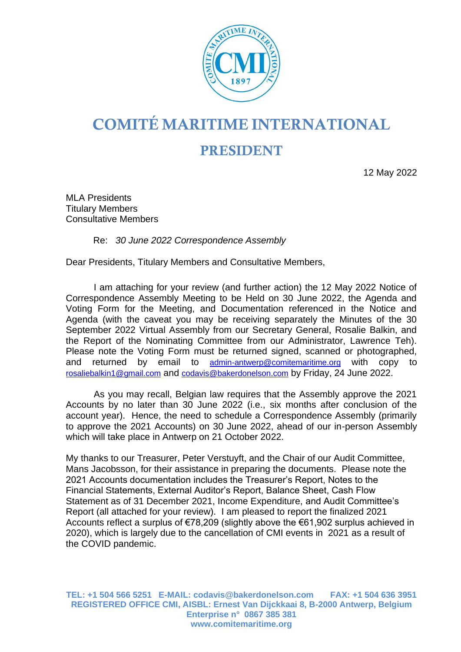

## COMITÉ MARITIME INTERNATIONAL

## **PRESIDENT**

12 May 2022

MLA Presidents Titulary Members Consultative Members

Re: *30 June 2022 Correspondence Assembly*

Dear Presidents, Titulary Members and Consultative Members,

I am attaching for your review (and further action) the 12 May 2022 Notice of Correspondence Assembly Meeting to be Held on 30 June 2022, the Agenda and Voting Form for the Meeting, and Documentation referenced in the Notice and Agenda (with the caveat you may be receiving separately the Minutes of the 30 September 2022 Virtual Assembly from our Secretary General, Rosalie Balkin, and the Report of the Nominating Committee from our Administrator, Lawrence Teh). Please note the Voting Form must be returned signed, scanned or photographed, and returned by email to [admin-antwerp@comitemaritime.org](mailto:admin-antwerp@comitemaritime.org) with copy to [rosaliebalkin1@gmail.com](mailto:rosaliebalkin1@gmail.com) and [codavis@bakerdonelson.com](mailto:codavis@bakerdonelson.com) by Friday, 24 June 2022.

As you may recall, Belgian law requires that the Assembly approve the 2021 Accounts by no later than 30 June 2022 (i.e., six months after conclusion of the account year). Hence, the need to schedule a Correspondence Assembly (primarily to approve the 2021 Accounts) on 30 June 2022, ahead of our in-person Assembly which will take place in Antwerp on 21 October 2022.

My thanks to our Treasurer, Peter Verstuyft, and the Chair of our Audit Committee, Mans Jacobsson, for their assistance in preparing the documents. Please note the 2021 Accounts documentation includes the Treasurer's Report, Notes to the Financial Statements, External Auditor's Report, Balance Sheet, Cash Flow Statement as of 31 December 2021, Income Expenditure, and Audit Committee's Report (all attached for your review). I am pleased to report the finalized 2021 Accounts reflect a surplus of €78,209 (slightly above the €61,902 surplus achieved in 2020), which is largely due to the cancellation of CMI events in 2021 as a result of the COVID pandemic.